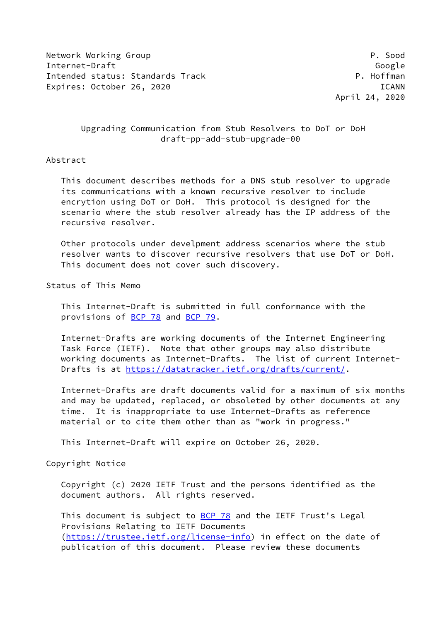Network Working Group **P. Sood** Internet-Draft Google Intended status: Standards Track P. Hoffman Expires: October 26, 2020 ICANN

April 24, 2020

# Upgrading Communication from Stub Resolvers to DoT or DoH draft-pp-add-stub-upgrade-00

## Abstract

 This document describes methods for a DNS stub resolver to upgrade its communications with a known recursive resolver to include encrytion using DoT or DoH. This protocol is designed for the scenario where the stub resolver already has the IP address of the recursive resolver.

 Other protocols under develpment address scenarios where the stub resolver wants to discover recursive resolvers that use DoT or DoH. This document does not cover such discovery.

Status of This Memo

 This Internet-Draft is submitted in full conformance with the provisions of [BCP 78](https://datatracker.ietf.org/doc/pdf/bcp78) and [BCP 79](https://datatracker.ietf.org/doc/pdf/bcp79).

 Internet-Drafts are working documents of the Internet Engineering Task Force (IETF). Note that other groups may also distribute working documents as Internet-Drafts. The list of current Internet- Drafts is at<https://datatracker.ietf.org/drafts/current/>.

 Internet-Drafts are draft documents valid for a maximum of six months and may be updated, replaced, or obsoleted by other documents at any time. It is inappropriate to use Internet-Drafts as reference material or to cite them other than as "work in progress."

This Internet-Draft will expire on October 26, 2020.

Copyright Notice

 Copyright (c) 2020 IETF Trust and the persons identified as the document authors. All rights reserved.

This document is subject to **[BCP 78](https://datatracker.ietf.org/doc/pdf/bcp78)** and the IETF Trust's Legal Provisions Relating to IETF Documents [\(https://trustee.ietf.org/license-info](https://trustee.ietf.org/license-info)) in effect on the date of publication of this document. Please review these documents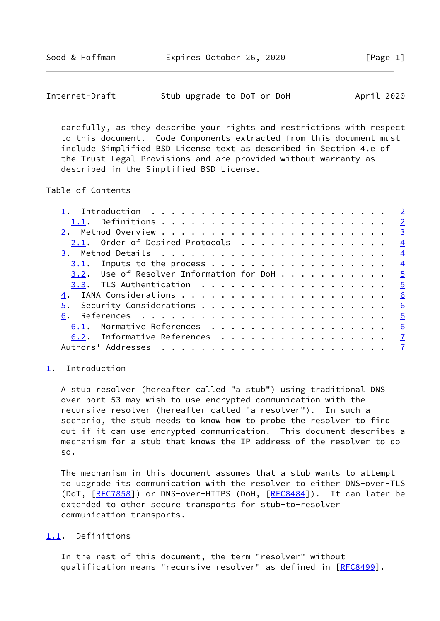<span id="page-1-1"></span>

| Internet-Draft |  | Stub upgrade to DoT or DoH |  |  |  |  | April 2020 |  |
|----------------|--|----------------------------|--|--|--|--|------------|--|
|----------------|--|----------------------------|--|--|--|--|------------|--|

 carefully, as they describe your rights and restrictions with respect to this document. Code Components extracted from this document must include Simplified BSD License text as described in Section 4.e of the Trust Legal Provisions and are provided without warranty as described in the Simplified BSD License.

## Table of Contents

|                                          |  |  |  |  |  |  |  |  |  |  |  | $\overline{2}$          |
|------------------------------------------|--|--|--|--|--|--|--|--|--|--|--|-------------------------|
|                                          |  |  |  |  |  |  |  |  |  |  |  | $\overline{\mathbf{3}}$ |
| 2.1. Order of Desired Protocols          |  |  |  |  |  |  |  |  |  |  |  | $\frac{4}{1}$           |
|                                          |  |  |  |  |  |  |  |  |  |  |  | $\frac{4}{1}$           |
|                                          |  |  |  |  |  |  |  |  |  |  |  | $\frac{4}{1}$           |
| 3.2. Use of Resolver Information for DoH |  |  |  |  |  |  |  |  |  |  |  | $\frac{5}{2}$           |
|                                          |  |  |  |  |  |  |  |  |  |  |  |                         |
|                                          |  |  |  |  |  |  |  |  |  |  |  | <u>6</u>                |
|                                          |  |  |  |  |  |  |  |  |  |  |  | 6                       |
| 6.                                       |  |  |  |  |  |  |  |  |  |  |  | 6                       |
| 6.1. Normative References                |  |  |  |  |  |  |  |  |  |  |  | 6                       |
| 6.2. Informative References 7            |  |  |  |  |  |  |  |  |  |  |  |                         |
|                                          |  |  |  |  |  |  |  |  |  |  |  |                         |

#### <span id="page-1-0"></span>[1](#page-1-0). Introduction

 A stub resolver (hereafter called "a stub") using traditional DNS over port 53 may wish to use encrypted communication with the recursive resolver (hereafter called "a resolver"). In such a scenario, the stub needs to know how to probe the resolver to find out if it can use encrypted communication. This document describes a mechanism for a stub that knows the IP address of the resolver to do so.

 The mechanism in this document assumes that a stub wants to attempt to upgrade its communication with the resolver to either DNS-over-TLS (DoT, [[RFC7858](https://datatracker.ietf.org/doc/pdf/rfc7858)]) or DNS-over-HTTPS (DoH, [\[RFC8484](https://datatracker.ietf.org/doc/pdf/rfc8484)]). It can later be extended to other secure transports for stub-to-resolver communication transports.

#### <span id="page-1-2"></span>[1.1](#page-1-2). Definitions

 In the rest of this document, the term "resolver" without qualification means "recursive resolver" as defined in [\[RFC8499](https://datatracker.ietf.org/doc/pdf/rfc8499)].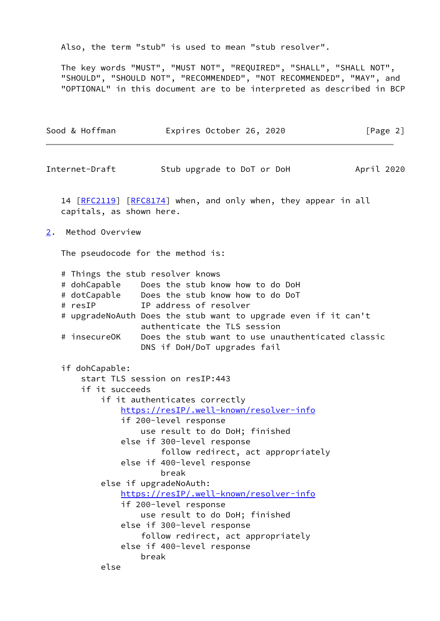Also, the term "stub" is used to mean "stub resolver".

 The key words "MUST", "MUST NOT", "REQUIRED", "SHALL", "SHALL NOT", "SHOULD", "SHOULD NOT", "RECOMMENDED", "NOT RECOMMENDED", "MAY", and "OPTIONAL" in this document are to be interpreted as described in BCP

<span id="page-2-1"></span><span id="page-2-0"></span>

| Sood & Hoffman               | Expires October 26, 2020                                                                                                                                                                                                                                                                                                                                                                                                                                                                                                             | [Page 2]   |
|------------------------------|--------------------------------------------------------------------------------------------------------------------------------------------------------------------------------------------------------------------------------------------------------------------------------------------------------------------------------------------------------------------------------------------------------------------------------------------------------------------------------------------------------------------------------------|------------|
| Internet-Draft               | Stub upgrade to DoT or DoH                                                                                                                                                                                                                                                                                                                                                                                                                                                                                                           | April 2020 |
|                              | 14 [RFC2119] [RFC8174] when, and only when, they appear in all<br>capitals, as shown here.                                                                                                                                                                                                                                                                                                                                                                                                                                           |            |
| Method Overview<br>$2 \cdot$ |                                                                                                                                                                                                                                                                                                                                                                                                                                                                                                                                      |            |
|                              | The pseudocode for the method is:                                                                                                                                                                                                                                                                                                                                                                                                                                                                                                    |            |
| # resIP<br># insecureOK      | # Things the stub resolver knows<br># dohCapable Does the stub know how to do DoH<br># dotCapable Does the stub know how to do DoT<br>IP address of resolver<br># upgradeNoAuth Does the stub want to upgrade even if it can't<br>authenticate the TLS session<br>Does the stub want to use unauthenticated classic<br>DNS if DoH/DoT upgrades fail                                                                                                                                                                                  |            |
| if dohCapable:               | start TLS session on resIP:443<br>if it succeeds<br>if it authenticates correctly<br>https://resIP/.well-known/resolver-info<br>if 200-level response<br>use result to do DoH; finished<br>else if 300-level response<br>follow redirect, act appropriately<br>else if 400-level response<br>break<br>else if upgradeNoAuth:<br>https://resIP/.well-known/resolver-info<br>if 200-level response<br>use result to do DoH; finished<br>else if 300-level response<br>follow redirect, act appropriately<br>else if 400-level response |            |
|                              | break<br>else                                                                                                                                                                                                                                                                                                                                                                                                                                                                                                                        |            |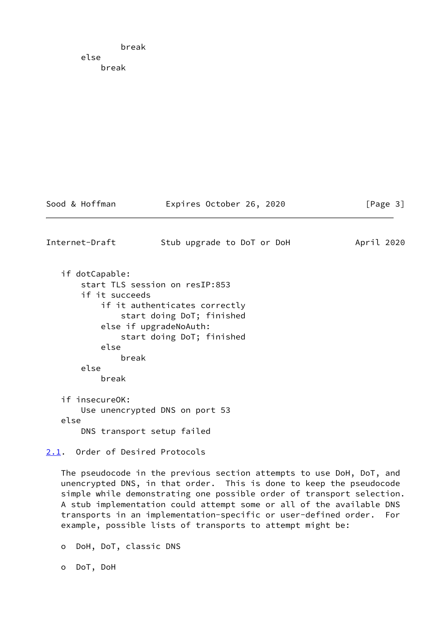break else break

Sood & Hoffman Expires October 26, 2020 [Page 3]

<span id="page-3-1"></span>Internet-Draft Stub upgrade to DoT or DoH April 2020 if dotCapable: start TLS session on resIP:853 if it succeeds if it authenticates correctly start doing DoT; finished else if upgradeNoAuth: start doing DoT; finished else break else break if insecureOK: Use unencrypted DNS on port 53 else DNS transport setup failed

<span id="page-3-0"></span>[2.1](#page-3-0). Order of Desired Protocols

 The pseudocode in the previous section attempts to use DoH, DoT, and unencrypted DNS, in that order. This is done to keep the pseudocode simple while demonstrating one possible order of transport selection. A stub implementation could attempt some or all of the available DNS transports in an implementation-specific or user-defined order. For example, possible lists of transports to attempt might be:

o DoH, DoT, classic DNS

o DoT, DoH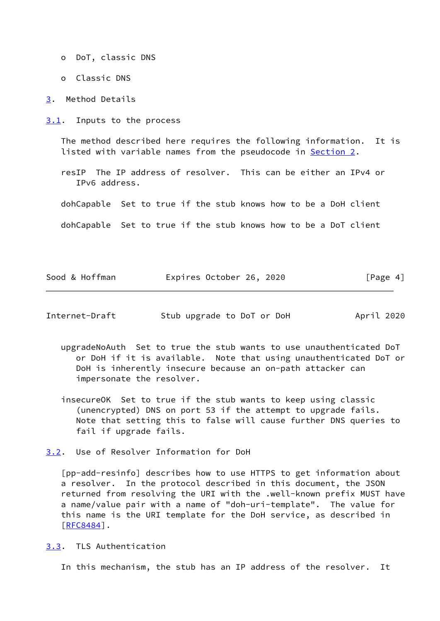- o DoT, classic DNS
- o Classic DNS

<span id="page-4-0"></span>[3](#page-4-0). Method Details

<span id="page-4-1"></span>[3.1](#page-4-1). Inputs to the process

 The method described here requires the following information. It is listed with variable names from the pseudocode in [Section 2.](#page-2-0)

 resIP The IP address of resolver. This can be either an IPv4 or IPv6 address.

dohCapable Set to true if the stub knows how to be a DoH client

dohCapable Set to true if the stub knows how to be a DoT client

| Sood & Hoffman | Expires October 26, 2020 |  | [Page 4] |
|----------------|--------------------------|--|----------|
|----------------|--------------------------|--|----------|

<span id="page-4-3"></span>

| Internet-Draft | Stub upgrade to DoT or DoH |  |  | April 2020 |  |
|----------------|----------------------------|--|--|------------|--|
|                |                            |  |  |            |  |

- upgradeNoAuth Set to true the stub wants to use unauthenticated DoT or DoH if it is available. Note that using unauthenticated DoT or DoH is inherently insecure because an on-path attacker can impersonate the resolver.
- insecureOK Set to true if the stub wants to keep using classic (unencrypted) DNS on port 53 if the attempt to upgrade fails. Note that setting this to false will cause further DNS queries to fail if upgrade fails.
- <span id="page-4-2"></span>[3.2](#page-4-2). Use of Resolver Information for DoH

 [pp-add-resinfo] describes how to use HTTPS to get information about a resolver. In the protocol described in this document, the JSON returned from resolving the URI with the .well-known prefix MUST have a name/value pair with a name of "doh-uri-template". The value for this name is the URI template for the DoH service, as described in [\[RFC8484](https://datatracker.ietf.org/doc/pdf/rfc8484)].

<span id="page-4-4"></span>[3.3](#page-4-4). TLS Authentication

In this mechanism, the stub has an IP address of the resolver. It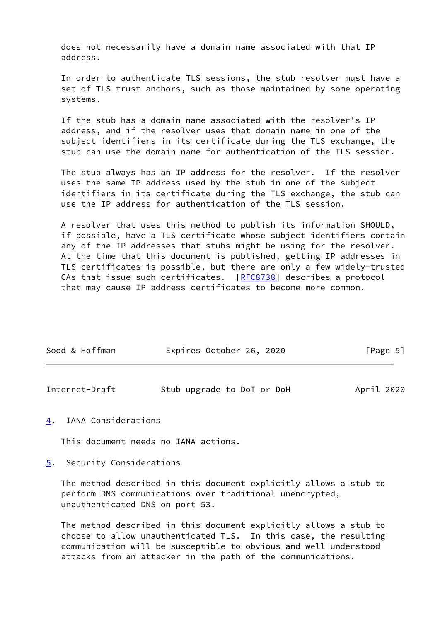does not necessarily have a domain name associated with that IP address.

 In order to authenticate TLS sessions, the stub resolver must have a set of TLS trust anchors, such as those maintained by some operating systems.

 If the stub has a domain name associated with the resolver's IP address, and if the resolver uses that domain name in one of the subject identifiers in its certificate during the TLS exchange, the stub can use the domain name for authentication of the TLS session.

 The stub always has an IP address for the resolver. If the resolver uses the same IP address used by the stub in one of the subject identifiers in its certificate during the TLS exchange, the stub can use the IP address for authentication of the TLS session.

 A resolver that uses this method to publish its information SHOULD, if possible, have a TLS certificate whose subject identifiers contain any of the IP addresses that stubs might be using for the resolver. At the time that this document is published, getting IP addresses in TLS certificates is possible, but there are only a few widely-trusted CAs that issue such certificates. [[RFC8738\]](https://datatracker.ietf.org/doc/pdf/rfc8738) describes a protocol that may cause IP address certificates to become more common.

| Sood & Hoffman | Expires October 26, 2020 | [Page 5] |
|----------------|--------------------------|----------|
|                |                          |          |

<span id="page-5-1"></span>

| Internet-Draft | Stub upgrade to DoT or DoH | April 2020 |
|----------------|----------------------------|------------|
|----------------|----------------------------|------------|

### <span id="page-5-0"></span>[4](#page-5-0). IANA Considerations

This document needs no IANA actions.

### <span id="page-5-2"></span>[5](#page-5-2). Security Considerations

 The method described in this document explicitly allows a stub to perform DNS communications over traditional unencrypted, unauthenticated DNS on port 53.

 The method described in this document explicitly allows a stub to choose to allow unauthenticated TLS. In this case, the resulting communication will be susceptible to obvious and well-understood attacks from an attacker in the path of the communications.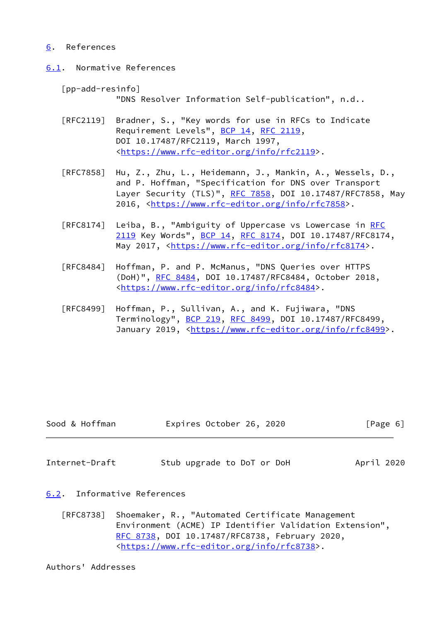## <span id="page-6-0"></span>[6](#page-6-0). References

<span id="page-6-1"></span>[6.1](#page-6-1). Normative References

[pp-add-resinfo]

"DNS Resolver Information Self-publication", n.d..

- [RFC2119] Bradner, S., "Key words for use in RFCs to Indicate Requirement Levels", [BCP 14](https://datatracker.ietf.org/doc/pdf/bcp14), [RFC 2119](https://datatracker.ietf.org/doc/pdf/rfc2119), DOI 10.17487/RFC2119, March 1997, <[https://www.rfc-editor.org/info/rfc2119>](https://www.rfc-editor.org/info/rfc2119).
- [RFC7858] Hu, Z., Zhu, L., Heidemann, J., Mankin, A., Wessels, D., and P. Hoffman, "Specification for DNS over Transport Layer Security (TLS)", [RFC 7858](https://datatracker.ietf.org/doc/pdf/rfc7858), DOI 10.17487/RFC7858, May 2016, [<https://www.rfc-editor.org/info/rfc7858](https://www.rfc-editor.org/info/rfc7858)>.
- [RFC8174] Leiba, B., "Ambiguity of Uppercase vs Lowercase in [RFC](https://datatracker.ietf.org/doc/pdf/rfc2119) [2119](https://datatracker.ietf.org/doc/pdf/rfc2119) Key Words", [BCP 14](https://datatracker.ietf.org/doc/pdf/bcp14), [RFC 8174,](https://datatracker.ietf.org/doc/pdf/rfc8174) DOI 10.17487/RFC8174, May 2017, [<https://www.rfc-editor.org/info/rfc8174](https://www.rfc-editor.org/info/rfc8174)>.
- [RFC8484] Hoffman, P. and P. McManus, "DNS Queries over HTTPS (DoH)", [RFC 8484,](https://datatracker.ietf.org/doc/pdf/rfc8484) DOI 10.17487/RFC8484, October 2018, <[https://www.rfc-editor.org/info/rfc8484>](https://www.rfc-editor.org/info/rfc8484).
- [RFC8499] Hoffman, P., Sullivan, A., and K. Fujiwara, "DNS Terminology", [BCP 219](https://datatracker.ietf.org/doc/pdf/bcp219), [RFC 8499](https://datatracker.ietf.org/doc/pdf/rfc8499), DOI 10.17487/RFC8499, January 2019, [<https://www.rfc-editor.org/info/rfc8499](https://www.rfc-editor.org/info/rfc8499)>.

| Sood & Hoffman | Expires October 26, 2020 |  | [Page 6] |
|----------------|--------------------------|--|----------|
|----------------|--------------------------|--|----------|

<span id="page-6-3"></span>Internet-Draft Stub upgrade to DoT or DoH April 2020

<span id="page-6-2"></span>[6.2](#page-6-2). Informative References

 [RFC8738] Shoemaker, R., "Automated Certificate Management Environment (ACME) IP Identifier Validation Extension", [RFC 8738,](https://datatracker.ietf.org/doc/pdf/rfc8738) DOI 10.17487/RFC8738, February 2020, <[https://www.rfc-editor.org/info/rfc8738>](https://www.rfc-editor.org/info/rfc8738).

Authors' Addresses